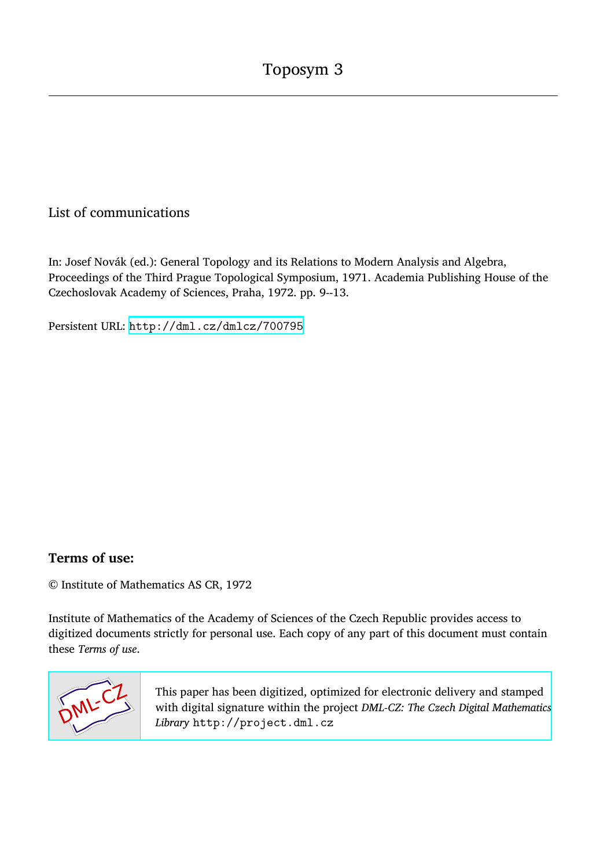## List of communications

In: Josef Novák (ed.): General Topology and its Relations to Modern Analysis and Algebra, Proceedings of the Third Prague Topological Symposium, 1971. Academia Publishing House of the Czechoslovak Academy of Sciences, Praha, 1972. pp. 9--13.

Persistent URL: <http://dml.cz/dmlcz/700795>

## **Terms of use:**

© Institute of Mathematics AS CR, 1972

Institute of Mathematics of the Academy of Sciences of the Czech Republic provides access to digitized documents strictly for personal use. Each copy of any part of this document must contain these *Terms of use*.



[This paper has been digitized, optimized for electronic delivery and stamped](http://project.dml.cz) with digital signature within the project *DML-CZ: The Czech Digital Mathematics Library* http://project.dml.cz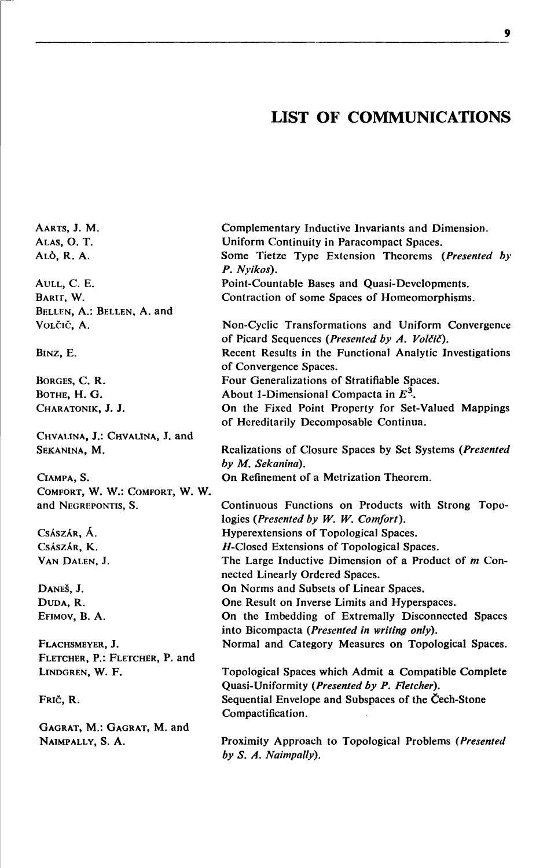## **LIST OF COMMUNICATIONS**

AARTS, J. M. ALAS, O.T. ALÒ, R. A.

AULL, C. E. BARIT, W. BELLEN, A.: BELLEN, A. and VOLČIČ, A.

BINZ, E.

BORGES, C. R. BOTHE, H. G. CHARATONIK, J. J.

CHVALINA, J.: CHVALINA, J. and SEKANINA, M.

CIAMPA, S. COMFORT, W. W.: COMFORT, W. W. and NEGREPONTIS, S.

CSÁSZÁR, Á. CSÁSZÁR, K. VAN DALEN, J.

DANEŠ, J. DUDA, R. EFIMOV, B. A.

FLACHSMEYER, J. FLETCHER, P.: FLETCHER, P. and LINDGREN, W. F.

FRIČ, R.

GAGRAT, M.: GAGRAT, M. and NAIMPALLY, S. A.

Complementary Inductive Invariants and Dimension. Uniform Continuity in Paracompact Spaces. Some Tietze Type Extension Theorems (Presented by P. Nvikos). Point-Countable Bases and Ouasi-Developments. Contraction of some Spaces of Homeomorphisms. Non-Cyclic Transformations and Uniform Convergence of Picard Sequences (Presented by A. Volčič). Recent Results in the Functional Analytic Investigations of Convergence Spaces. Four Generalizations of Stratifiable Spaces. About 1-Dimensional Compacta in  $E^3$ . On the Fixed Point Property for Set-Valued Mappings of Hereditarily Decomposable Continua. Realizations of Closure Spaces by Set Systems (Presented by M. Sekanina). On Refinement of a Metrization Theorem. Continuous Functions on Products with Strong Topologies (Presented by W. W. Comfort). Hyperextensions of Topological Spaces. H-Closed Extensions of Topological Spaces. The Large Inductive Dimension of a Product of  $m$  Connected Linearly Ordered Spaces. On Norms and Subsets of Linear Spaces. One Result on Inverse Limits and Hyperspaces. On the Imbedding of Extremally Disconnected Spaces into Bicompacta (Presented in writing only). Normal and Category Measures on Topological Spaces. Topological Spaces which Admit a Compatible Complete Quasi-Uniformity (Presented by P. Fletcher). Sequential Envelope and Subspaces of the Čech-Stone Compactification.

Proximity Approach to Topological Problems (Presented  $by S. A. Naimpally.$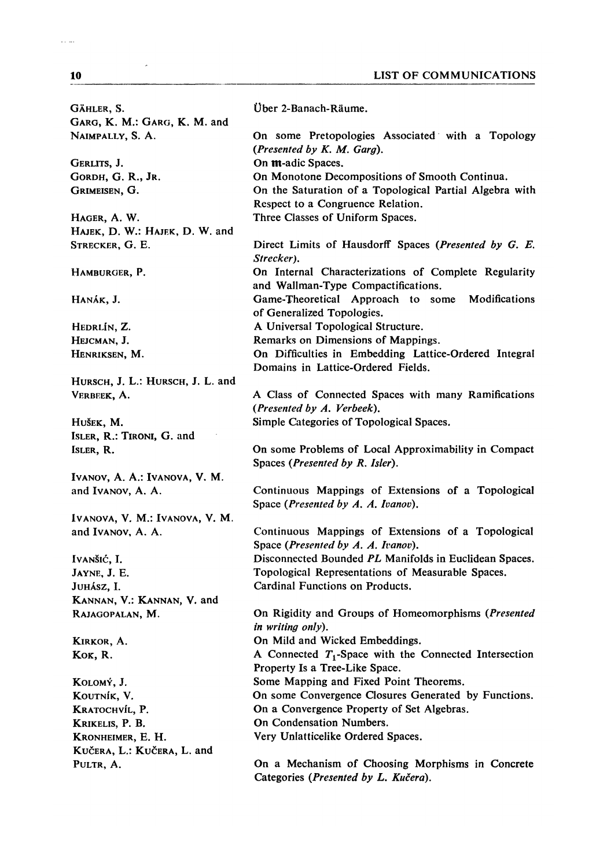| GÄHLER, S.                                    | Über 2-Banach-Räume.                                                                         |
|-----------------------------------------------|----------------------------------------------------------------------------------------------|
| GARG, K. M.: GARG, K. M. and                  |                                                                                              |
| NAIMPALLY, S. A.                              | On some Pretopologies Associated with a Topology<br>(Presented by $K.$ M. Garg).             |
| GERLITS, J.                                   | On m-adic Spaces.                                                                            |
| GORDH, G. R., JR.                             | On Monotone Decompositions of Smooth Continua.                                               |
| GRIMEISEN, G.                                 | On the Saturation of a Topological Partial Algebra with<br>Respect to a Congruence Relation. |
| HAGER, A. W.                                  | Three Classes of Uniform Spaces.                                                             |
| HAJEK, D. W.: HAJEK, D. W. and                |                                                                                              |
| STRECKER, G. E.                               | Direct Limits of Hausdorff Spaces (Presented by G. E.<br>Strecker).                          |
| HAMBURGER, P.                                 | On Internal Characterizations of Complete Regularity<br>and Wallman-Type Compactifications.  |
| Hanák, J.                                     | Game-Theoretical Approach to some<br>Modifications<br>of Generalized Topologies.             |
| HEDRLÍN, Z.                                   | A Universal Topological Structure.                                                           |
| HEJCMAN, J.                                   | Remarks on Dimensions of Mappings.                                                           |
| HENRIKSEN, M.                                 | On Difficulties in Embedding Lattice-Ordered Integral                                        |
|                                               | Domains in Lattice-Ordered Fields.                                                           |
| HURSCH, J. L.: HURSCH, J. L. and              |                                                                                              |
| VERBEEK, A.                                   | A Class of Connected Spaces with many Ramifications<br>(Presented by A. Verbeek).            |
| Hušek, M.                                     | Simple Categories of Topological Spaces.                                                     |
| ISLER, R.: TIRONI, G. and                     |                                                                                              |
| ISLER, R.                                     | On some Problems of Local Approximability in Compact<br>Spaces (Presented by R. Isler).      |
| IVANOV, A. A.: IVANOVA, V. M.                 |                                                                                              |
|                                               |                                                                                              |
| and Ivanov, A. A.                             | Continuous Mappings of Extensions of a Topological<br>Space (Presented by A. A. Ivanov).     |
| IVANOVA, V. M.: IVANOVA, V. M.                |                                                                                              |
| and Ivanov, A. A.                             | Continuous Mappings of Extensions of a Topological<br>Space (Presented by A. A. Ivanov).     |
|                                               | Disconnected Bounded PL Manifolds in Euclidean Spaces.                                       |
| Ivanšić, I.                                   |                                                                                              |
| JAYNE, J. E.                                  | Topological Representations of Measurable Spaces.<br>Cardinal Functions on Products.         |
| Juhász, I.                                    |                                                                                              |
| KANNAN, V.: KANNAN, V. and<br>RAJAGOPALAN, M. | On Rigidity and Groups of Homeomorphisms (Presented<br>in writing only).                     |
|                                               |                                                                                              |
| KIRKOR, A.                                    | On Mild and Wicked Embeddings.                                                               |
| Kok, R.                                       | A Connected $T_1$ -Space with the Connected Intersection<br>Property Is a Tree-Like Space.   |
| KOLOMÝ, J.                                    | Some Mapping and Fixed Point Theorems.                                                       |
| KOUTNÍK, V.                                   | On some Convergence Closures Generated by Functions.                                         |
| KRATOCHVÍL, P.                                | On a Convergence Property of Set Algebras.                                                   |
| KRIKELIS, P. B.                               | On Condensation Numbers.                                                                     |
| KRONHEIMER, E. H.                             | Very Unlatticelike Ordered Spaces.                                                           |
| KUČERA, L.: KUČERA, L. and<br>PULTR, A.       | On a Mechanism of Choosing Morphisms in Concrete                                             |

 $\sim$ 

 $\bar{z}_\mathrm{S}$  in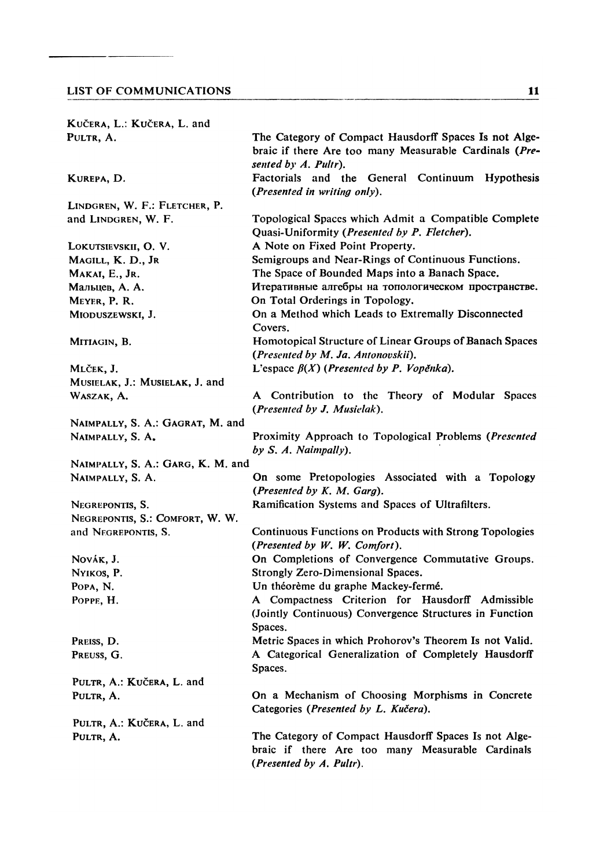| KUČERA, L.: KUČERA, L. and        |                                                                                                                                         |
|-----------------------------------|-----------------------------------------------------------------------------------------------------------------------------------------|
| PULTR, A.                         | The Category of Compact Hausdorff Spaces Is not Alge-<br>braic if there Are too many Measurable Cardinals (Pre-<br>sented by A. Pultr). |
| KUREPA, D.                        | Factorials and the General Continuum Hypothesis<br>(Presented in writing only).                                                         |
| LINDGREN, W. F.: FLETCHER, P.     |                                                                                                                                         |
| and LINDGREN, W. F.               | Topological Spaces which Admit a Compatible Complete<br>Quasi-Uniformity (Presented by P. Fletcher).                                    |
| LOKUTSIEVSKII, O. V.              | A Note on Fixed Point Property.                                                                                                         |
| Magill, K. D., Jr                 | Semigroups and Near-Rings of Continuous Functions.                                                                                      |
| Makai, E., Jr.                    | The Space of Bounded Maps into a Banach Space.                                                                                          |
| Мальцев, А. А.                    | Итеративные алгебры на топологическом пространстве.                                                                                     |
| MEYER, P. R.                      | On Total Orderings in Topology.                                                                                                         |
| MIODUSZEWSKI, J.                  | On a Method which Leads to Extremally Disconnected<br>Covers.                                                                           |
| MITIAGIN, B.                      | Homotopical Structure of Linear Groups of Banach Spaces<br>(Presented by M. Ja. Antonovskii).                                           |
| Mlček, J.                         | L'espace $\beta(X)$ (Presented by P. Vopěnka).                                                                                          |
| MUSIELAK, J.: MUSIELAK, J. and    |                                                                                                                                         |
| WASZAK, A.                        | A Contribution to the Theory of Modular Spaces<br>(Presented by J. Musielak).                                                           |
| NAIMPALLY, S. A.: GAGRAT, M. and  |                                                                                                                                         |
| NAIMPALLY, S. A.                  | Proximity Approach to Topological Problems (Presented<br>by S. A. Naimpally).                                                           |
| NAIMPALLY, S. A.: GARG, K. M. and |                                                                                                                                         |
| NAIMPALLY, S. A.                  | On some Pretopologies Associated with a Topology<br>(Presented by $K. M. Garg$ ).                                                       |
| NEGREPONTIS, S.                   | Ramification Systems and Spaces of Ultrafilters.                                                                                        |
| NEGREPONTIS, S.: COMFORT, W. W.   |                                                                                                                                         |
| and NEGREPONTIS, S.               | Continuous Functions on Products with Strong Topologies<br>(Presented by W. W. Comfort).                                                |
| Novák, J.                         | On Completions of Convergence Commutative Groups.                                                                                       |
| NYIKOS, P.                        | Strongly Zero-Dimensional Spaces.                                                                                                       |
| POPA, N.                          | Un théorème du graphe Mackey-fermé.                                                                                                     |
| POPPE, H.                         | A Compactness Criterion for Hausdorff Admissible<br>(Jointly Continuous) Convergence Structures in Function<br>Spaces.                  |
| PREISS, D.                        | Metric Spaces in which Prohorov's Theorem Is not Valid.                                                                                 |
| PREUSS, G.                        | A Categorical Generalization of Completely Hausdorff<br>Spaces.                                                                         |
| PULTR, A.: KUČERA, L. and         |                                                                                                                                         |
| PULTR, A.                         | On a Mechanism of Choosing Morphisms in Concrete<br>Categories (Presented by L. Kučera).                                                |
| PULTR, A.: KUČERA, L. and         |                                                                                                                                         |
| PULTR, A.                         | The Category of Compact Hausdorff Spaces Is not Alge-<br>braic if there Are too many Measurable Cardinals<br>(Presented by A. Pultr).   |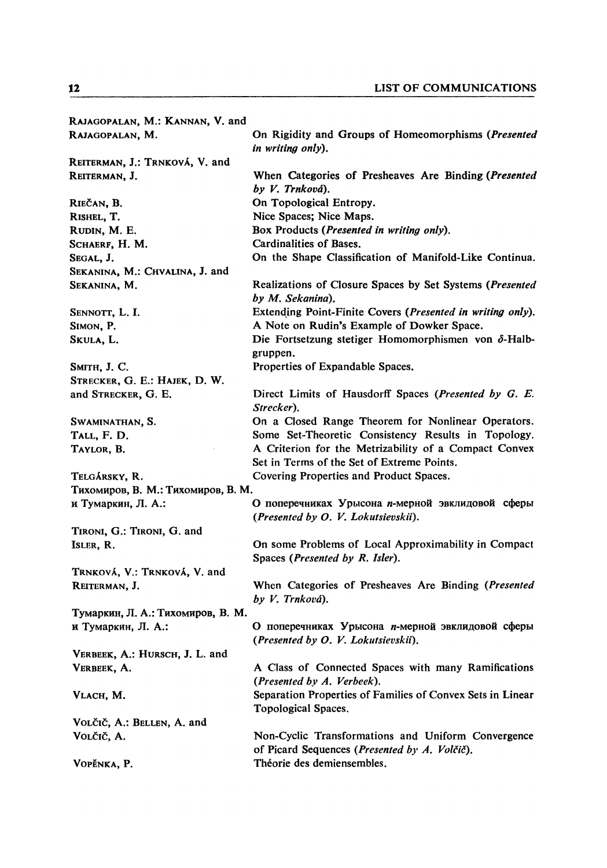| RAJAGOPALAN, M.: KANNAN, V. and    |                                                                                                     |
|------------------------------------|-----------------------------------------------------------------------------------------------------|
| RAJAGOPALAN, M.                    | On Rigidity and Groups of Homeomorphisms ( <i>Presented</i><br>in writing only).                    |
| REITERMAN, J.: TRNKOVÁ, V. and     |                                                                                                     |
| REITERMAN, J.                      | When Categories of Presheaves Are Binding ( <i>Presented</i><br>by V. Trnková).                     |
| Riečan, B.                         | On Topological Entropy.                                                                             |
| Rishel, T.                         | Nice Spaces; Nice Maps.                                                                             |
| RUDIN, M. E.                       | Box Products (Presented in writing only).                                                           |
| Schaerf, H. M.                     | Cardinalities of Bases.                                                                             |
| Segal, J.                          | On the Shape Classification of Manifold-Like Continua.                                              |
| SEKANINA, M.: CHVALINA, J. and     |                                                                                                     |
| Sekanina, M.                       | Realizations of Closure Spaces by Set Systems ( <i>Presented</i><br>by M. Sekanina).                |
| SENNOTT, L. I.                     | Extending Point-Finite Covers (Presented in writing only).                                          |
| SIMON, P.                          | A Note on Rudin's Example of Dowker Space.                                                          |
| SKULA, L.                          | Die Fortsetzung stetiger Homomorphismen von $\delta$ -Halb-<br>gruppen.                             |
| <b>Sмітн, J. C.</b>                | Properties of Expandable Spaces.                                                                    |
| STRECKER, G. E.: HAJEK, D. W.      |                                                                                                     |
| and STRECKER, G. E.                | Direct Limits of Hausdorff Spaces ( <i>Presented by G. E.</i><br>Strecker).                         |
| SWAMINATHAN, S.                    | On a Closed Range Theorem for Nonlinear Operators.                                                  |
| Tall, F. D.                        | Some Set-Theoretic Consistency Results in Topology.                                                 |
| Taylor, B.                         | A Criterion for the Metrizability of a Compact Convex<br>Set in Terms of the Set of Extreme Points. |
| Telgársky, R.                      | Covering Properties and Product Spaces.                                                             |
| Тихомиров, В. М.: Тихомиров, В. М. |                                                                                                     |
| и Тумаркин, Л. А.:                 | О поперечниках Урысона <i>п</i> -мерной эвклидовой сферы<br>(Presented by O. V. Lokutsievskii).     |
| TIRONI, G.: TIRONI, G. and         |                                                                                                     |
| ISLER, R.                          | On some Problems of Local Approximability in Compact<br>Spaces (Presented by R. Isler).             |
| TRNKOVÁ, V.: TRNKOVÁ, V. and       |                                                                                                     |
| REITERMAN, J.                      | When Categories of Presheaves Are Binding (Presented<br>by V. Trnková).                             |
| Тумаркин, Л. А.: Тихомиров, В. М.  |                                                                                                     |
| и Тумаркин, Л. А.:                 | О поперечниках Урысона п-мерной эвклидовой сферы<br>(Presented by O. V. Lokutsievskii).             |
| VERBEEK, A.: HURSCH, J. L. and     |                                                                                                     |
| VERBEEK, A.                        | A Class of Connected Spaces with many Ramifications<br>(Presented by A. Verbeek).                   |
| VLACH, M.                          | Separation Properties of Families of Convex Sets in Linear<br>Topological Spaces.                   |
| VOLČIČ, A.: BELLEN, A. and         |                                                                                                     |
| Volčič, A.                         | Non-Cyclic Transformations and Uniform Convergence<br>of Picard Sequences (Presented by A. Volčič). |
| Vopěnka, P.                        | Théorie des demiensembles.                                                                          |